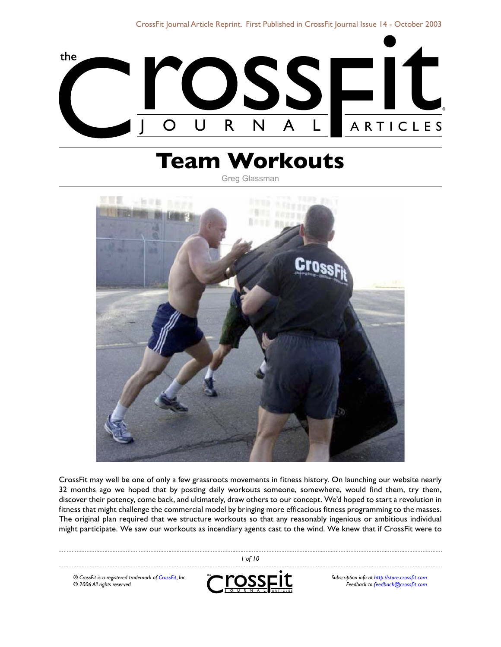

# **Team Workouts**

Greg Glassman



CrossFit may well be one of only a few grassroots movements in fitness history. On launching our website nearly 32 months ago we hoped that by posting daily workouts someone, somewhere, would find them, try them, discover their potency, come back, and ultimately, draw others to our concept. We'd hoped to start a revolution in fitness that might challenge the commercial model by bringing more efficacious fitness programming to the masses. The original plan required that we structure workouts so that any reasonably ingenious or ambitious individual might participate. We saw our workouts as incendiary agents cast to the wind. We knew that if CrossFit were to

*® CrossFit is a registered trademark of [CrossFit,](http://www.crossfit.com) Inc. © 2006 All rights reserved.*



 *of 10*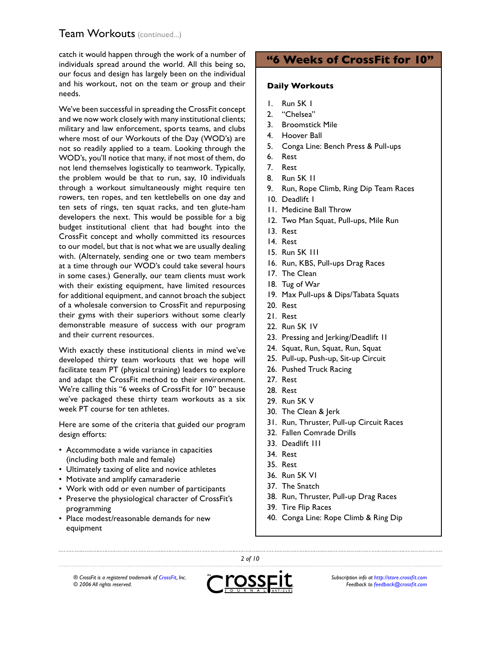catch it would happen through the work of a number of individuals spread around the world. All this being so, our focus and design has largely been on the individual and his workout, not on the team or group and their needs.

We've been successful in spreading the CrossFit concept and we now work closely with many institutional clients; military and law enforcement, sports teams, and clubs where most of our Workouts of the Day (WOD's) are not so readily applied to a team. Looking through the WOD's, you'll notice that many, if not most of them, do not lend themselves logistically to teamwork. Typically, the problem would be that to run, say, 10 individuals through a workout simultaneously might require ten rowers, ten ropes, and ten kettlebells on one day and ten sets of rings, ten squat racks, and ten glute-ham developers the next. This would be possible for a big budget institutional client that had bought into the CrossFit concept and wholly committed its resources to our model, but that is not what we are usually dealing with. (Alternately, sending one or two team members at a time through our WOD's could take several hours in some cases.) Generally, our team clients must work with their existing equipment, have limited resources for additional equipment, and cannot broach the subject of a wholesale conversion to CrossFit and repurposing their gyms with their superiors without some clearly demonstrable measure of success with our program and their current resources.

With exactly these institutional clients in mind we've developed thirty team workouts that we hope will facilitate team PT (physical training) leaders to explore and adapt the CrossFit method to their environment. We're calling this "6 weeks of CrossFit for 10" because we've packaged these thirty team workouts as a six week PT course for ten athletes.

Here are some of the criteria that guided our program design efforts:

- Accommodate a wide variance in capacities (including both male and female)
- Ultimately taxing of elite and novice athletes
- Motivate and amplify camaraderie
- Work with odd or even number of participants •
- Preserve the physiological character of CrossFit's programming
- Place modest/reasonable demands for new equipment

# **"6 Weeks of CrossFit for 10"**

#### **Daily Workouts**

- Run 5K 1 1.
- "Chelsea" 2.
- Broomstick Mile 3.
- 4. Hoover Ball
- Conga Line: Bench Press & Pull-ups 5.
- Rest 6.
- Rest 7.
- Run 5K 11 8.
- Run, Rope Climb, Ring Dip Team Races 9.
- 10. Deadlift I
- 11. Medicine Ball Throw
- 12. Two Man Squat, Pull-ups, Mile Run
- 13. Rest
- 14. Rest
- 15. Run 5K III
- 16. Run, KBS, Pull-ups Drag Races
- 17. The Clean
- 18. Tug of War
- 19. Max Pull-ups & Dips/Tabata Squats
- 20. Rest
- 21. Rest
- 22. Run 5K IV
- 23. Pressing and Jerking/Deadlift II
- 24. Squat, Run, Squat, Run, Squat
- 25. Pull-up, Push-up, Sit-up Circuit
- 26. Pushed Truck Racing
- 27. Rest
- 28. Rest
- 29. Run 5K V
- 30. The Clean & Jerk
- 31. Run, Thruster, Pull-up Circuit Races
- 32. Fallen Comrade Drills
- 33. Deadlift III
- 34. Rest
- 35. Rest
- 36. Run 5K VI
- 37. The Snatch
- 38. Run, Thruster, Pull-up Drag Races
- 39. Tire Flip Races
- 40. Conga Line: Rope Climb & Ring Dip

*® CrossFit is a registered trademark of [CrossFit,](http://www.crossfit.com) Inc. © 2006 All rights reserved.*



 *of 10*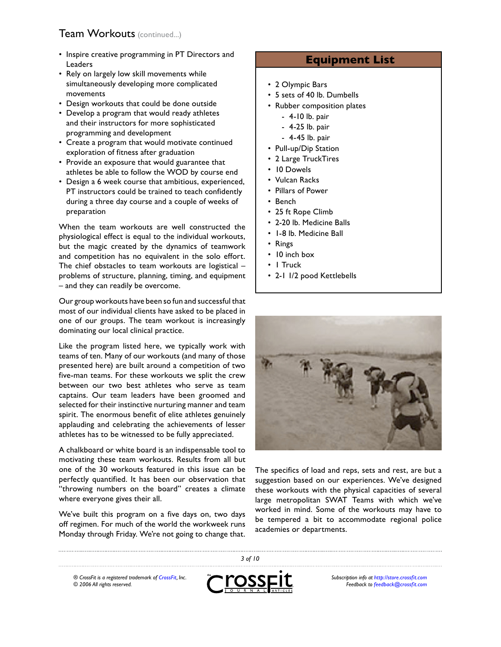- Inspire creative programming in PT Directors and Leaders
- Rely on largely low skill movements while simultaneously developing more complicated movements
- Design workouts that could be done outside
- Develop a program that would ready athletes and their instructors for more sophisticated programming and development
- Create a program that would motivate continued exploration of fitness after graduation
- Provide an exposure that would guarantee that athletes be able to follow the WOD by course end
- Design a 6 week course that ambitious, experienced, PT instructors could be trained to teach confidently during a three day course and a couple of weeks of preparation

When the team workouts are well constructed the physiological effect is equal to the individual workouts, but the magic created by the dynamics of teamwork and competition has no equivalent in the solo effort. The chief obstacles to team workouts are logistical – problems of structure, planning, timing, and equipment – and they can readily be overcome.

Our group workouts have been so fun and successful that most of our individual clients have asked to be placed in one of our groups. The team workout is increasingly dominating our local clinical practice.

Like the program listed here, we typically work with teams of ten. Many of our workouts (and many of those presented here) are built around a competition of two five-man teams. For these workouts we split the crew between our two best athletes who serve as team captains. Our team leaders have been groomed and selected for their instinctive nurturing manner and team spirit. The enormous benefit of elite athletes genuinely applauding and celebrating the achievements of lesser athletes has to be witnessed to be fully appreciated.

A chalkboard or white board is an indispensable tool to motivating these team workouts. Results from all but one of the 30 workouts featured in this issue can be perfectly quantified. It has been our observation that "throwing numbers on the board" creates a climate where everyone gives their all.

We've built this program on a five days on, two days off regimen. For much of the world the workweek runs Monday through Friday. We're not going to change that.

## **Equipment List**

- 2 Olympic Bars
- 5 sets of 40 lb. Dumbells •
- Rubber composition plates
	- 4-10 lb. pair -
	- 4-25 lb. pair -
	- 4-45 lb. pair -
- Pull-up/Dip Station
- 2 Large TruckTires
- 10 Dowels
- Vulcan Racks •
- Pillars of Power
- Bench
- 25 ft Rope Climb
- 2-20 lb. Medicine Balls
- I-8 lb. Medicine Ball
- Rings
- 10 inch box
- I Truck
- 2-1 I/2 pood Kettlebells



The specifics of load and reps, sets and rest, are but a suggestion based on our experiences. We've designed these workouts with the physical capacities of several large metropolitan SWAT Teams with which we've worked in mind. Some of the workouts may have to be tempered a bit to accommodate regional police academies or departments.

*® CrossFit is a registered trademark of [CrossFit,](http://www.crossfit.com) Inc. © 2006 All rights reserved.*



 *of 10*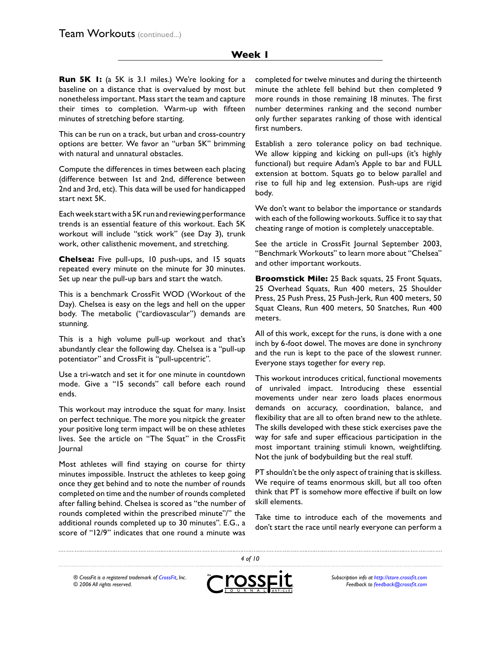#### **Week 1**

**Run 5K 1:** (a 5K is 3.1 miles.) We're looking for a baseline on a distance that is overvalued by most but nonetheless important. Mass start the team and capture their times to completion. Warm-up with fifteen minutes of stretching before starting.

This can be run on a track, but urban and cross-country options are better. We favor an "urban 5K" brimming with natural and unnatural obstacles.

Compute the differences in times between each placing (difference between 1st and 2nd, difference between 2nd and 3rd, etc). This data will be used for handicapped start next 5K.

Each week start with a 5K run and reviewing performance trends is an essential feature of this workout. Each 5K workout will include "stick work" (see Day 3), trunk work, other calisthenic movement, and stretching.

**Chelsea:** Five pull-ups, 10 push-ups, and 15 squats repeated every minute on the minute for 30 minutes. Set up near the pull-up bars and start the watch.

This is a benchmark CrossFit WOD (Workout of the Day). Chelsea is easy on the legs and hell on the upper body. The metabolic ("cardiovascular") demands are stunning.

This is a high volume pull-up workout and that's abundantly clear the following day. Chelsea is a "pull-up potentiator" and CrossFit is "pull-upcentric".

Use a tri-watch and set it for one minute in countdown mode. Give a "15 seconds" call before each round ends.

This workout may introduce the squat for many. Insist on perfect technique. The more you nitpick the greater your positive long term impact will be on these athletes lives. See the article on "The Squat" in the CrossFit Journal

Most athletes will find staying on course for thirty minutes impossible. Instruct the athletes to keep going once they get behind and to note the number of rounds completed on time and the number of rounds completed after falling behind. Chelsea is scored as "the number of rounds completed within the prescribed minute"/" the additional rounds completed up to 30 minutes". E.G., a score of "12/9" indicates that one round a minute was

completed for twelve minutes and during the thirteenth minute the athlete fell behind but then completed 9 more rounds in those remaining 18 minutes. The first number determines ranking and the second number only further separates ranking of those with identical first numbers.

Establish a zero tolerance policy on bad technique. We allow kipping and kicking on pull-ups (it's highly functional) but require Adam's Apple to bar and FULL extension at bottom. Squats go to below parallel and rise to full hip and leg extension. Push-ups are rigid body.

We don't want to belabor the importance or standards with each of the following workouts. Suffice it to say that cheating range of motion is completely unacceptable.

See the article in CrossFit Journal September 2003, "Benchmark Workouts" to learn more about "Chelsea" and other important workouts.

**Broomstick Mile:** 25 Back squats, 25 Front Squats, 25 Overhead Squats, Run 400 meters, 25 Shoulder Press, 25 Push Press, 25 Push-Jerk, Run 400 meters, 50 Squat Cleans, Run 400 meters, 50 Snatches, Run 400 meters.

All of this work, except for the runs, is done with a one inch by 6-foot dowel. The moves are done in synchrony and the run is kept to the pace of the slowest runner. Everyone stays together for every rep.

This workout introduces critical, functional movements of unrivaled impact. Introducing these essential movements under near zero loads places enormous demands on accuracy, coordination, balance, and flexibility that are all to often brand new to the athlete. The skills developed with these stick exercises pave the way for safe and super efficacious participation in the most important training stimuli known, weightlifting. Not the junk of bodybuilding but the real stuff.

PT shouldn't be the only aspect of training that is skilless. We require of teams enormous skill, but all too often think that PT is somehow more effective if built on low skill elements.

Take time to introduce each of the movements and don't start the race until nearly everyone can perform a

*® CrossFit is a registered trademark of [CrossFit,](http://www.crossfit.com) Inc. © 2006 All rights reserved.*



 *of 10*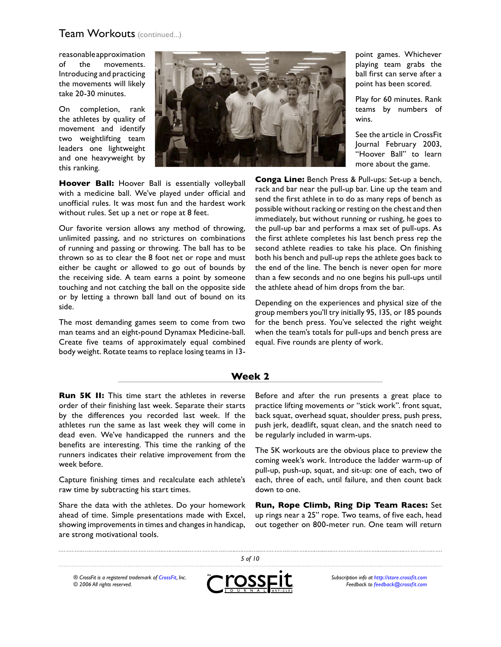reasonable approximation of the movements. Introducing and practicing the movements will likely take 20-30 minutes.

On completion, rank the athletes by quality of movement and identify two weightlifting team leaders one lightweight and one heavyweight by this ranking.



**Hoover Ball:** Hoover Ball is essentially volleyball with a medicine ball. We've played under official and unofficial rules. It was most fun and the hardest work without rules. Set up a net or rope at 8 feet.

Our favorite version allows any method of throwing, unlimited passing, and no strictures on combinations of running and passing or throwing. The ball has to be thrown so as to clear the 8 foot net or rope and must either be caught or allowed to go out of bounds by the receiving side. A team earns a point by someone touching and not catching the ball on the opposite side or by letting a thrown ball land out of bound on its side.

The most demanding games seem to come from two man teams and an eight-pound Dynamax Medicine-ball. Create five teams of approximately equal combined body weight. Rotate teams to replace losing teams in 13point games. Whichever playing team grabs the ball first can serve after a point has been scored.

Play for 60 minutes. Rank teams by numbers of wins.

See the article in CrossFit Journal February 2003, "Hoover Ball" to learn more about the game.

**Conga Line:** Bench Press & Pull-ups: Set-up a bench, rack and bar near the pull-up bar. Line up the team and send the first athlete in to do as many reps of bench as possible without racking or resting on the chest and then immediately, but without running or rushing, he goes to the pull-up bar and performs a max set of pull-ups. As the first athlete completes his last bench press rep the second athlete readies to take his place. On finishing both his bench and pull-up reps the athlete goes back to the end of the line. The bench is never open for more than a few seconds and no one begins his pull-ups until the athlete ahead of him drops from the bar.

Depending on the experiences and physical size of the group members you'll try initially 95, 135, or 185 pounds for the bench press. You've selected the right weight when the team's totals for pull-ups and bench press are equal. Five rounds are plenty of work.

#### **Week 2**

**Run 5K II:** This time start the athletes in reverse order of their finishing last week. Separate their starts by the differences you recorded last week. If the athletes run the same as last week they will come in dead even. We've handicapped the runners and the benefits are interesting. This time the ranking of the runners indicates their relative improvement from the week before.

Capture finishing times and recalculate each athlete's raw time by subtracting his start times.

Share the data with the athletes. Do your homework ahead of time. Simple presentations made with Excel, showing improvements in times and changes in handicap, are strong motivational tools.

Before and after the run presents a great place to practice lifting movements or "stick work". front squat, back squat, overhead squat, shoulder press, push press, push jerk, deadlift, squat clean, and the snatch need to be regularly included in warm-ups.

The 5K workouts are the obvious place to preview the coming week's work. Introduce the ladder warm-up of pull-up, push-up, squat, and sit-up: one of each, two of each, three of each, until failure, and then count back down to one.

**Run, Rope Climb, Ring Dip Team Races:** Set up rings near a 25" rope. Two teams, of five each, head out together on 800-meter run. One team will return

*® CrossFit is a registered trademark of [CrossFit,](http://www.crossfit.com) Inc. © 2006 All rights reserved.*



 *of 10*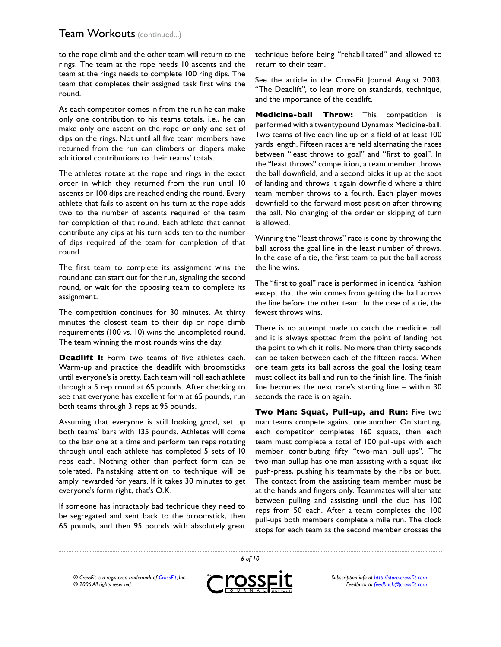to the rope climb and the other team will return to the rings. The team at the rope needs 10 ascents and the team at the rings needs to complete 100 ring dips. The team that completes their assigned task first wins the round.

As each competitor comes in from the run he can make only one contribution to his teams totals, i.e., he can make only one ascent on the rope or only one set of dips on the rings. Not until all five team members have returned from the run can climbers or dippers make additional contributions to their teams' totals.

The athletes rotate at the rope and rings in the exact order in which they returned from the run until 10 ascents or 100 dips are reached ending the round. Every athlete that fails to ascent on his turn at the rope adds two to the number of ascents required of the team for completion of that round. Each athlete that cannot contribute any dips at his turn adds ten to the number of dips required of the team for completion of that round.

The first team to complete its assignment wins the round and can start out for the run, signaling the second round, or wait for the opposing team to complete its assignment.

The competition continues for 30 minutes. At thirty minutes the closest team to their dip or rope climb requirements (100 vs. 10) wins the uncompleted round. The team winning the most rounds wins the day.

**Deadlift I:** Form two teams of five athletes each. Warm-up and practice the deadlift with broomsticks until everyone's is pretty. Each team will roll each athlete through a 5 rep round at 65 pounds. After checking to see that everyone has excellent form at 65 pounds, run both teams through 3 reps at 95 pounds.

Assuming that everyone is still looking good, set up both teams' bars with 135 pounds. Athletes will come to the bar one at a time and perform ten reps rotating through until each athlete has completed 5 sets of 10 reps each. Nothing other than perfect form can be tolerated. Painstaking attention to technique will be amply rewarded for years. If it takes 30 minutes to get everyone's form right, that's O.K.

If someone has intractably bad technique they need to be segregated and sent back to the broomstick, then 65 pounds, and then 95 pounds with absolutely great technique before being "rehabilitated" and allowed to return to their team.

See the article in the CrossFit Journal August 2003, "The Deadlift", to lean more on standards, technique, and the importance of the deadlift.

**Medicine-ball Throw:** This competition is performed with a twentypound Dynamax Medicine-ball. Two teams of five each line up on a field of at least 100 yards length. Fifteen races are held alternating the races between "least throws to goal" and "first to goal". In the "least throws" competition, a team member throws the ball downfield, and a second picks it up at the spot of landing and throws it again downfield where a third team member throws to a fourth. Each player moves downfield to the forward most position after throwing the ball. No changing of the order or skipping of turn is allowed.

Winning the "least throws" race is done by throwing the ball across the goal line in the least number of throws. In the case of a tie, the first team to put the ball across the line wins.

The "first to goal" race is performed in identical fashion except that the win comes from getting the ball across the line before the other team. In the case of a tie, the fewest throws wins.

There is no attempt made to catch the medicine ball and it is always spotted from the point of landing not the point to which it rolls. No more than thirty seconds can be taken between each of the fifteen races. When one team gets its ball across the goal the losing team must collect its ball and run to the finish line. The finish line becomes the next race's starting line – within 30 seconds the race is on again.

**Two Man: Squat, Pull-up, and Run:** Five two man teams compete against one another. On starting, each competitor completes 160 squats, then each team must complete a total of 100 pull-ups with each member contributing fifty "two-man pull-ups". The two-man pullup has one man assisting with a squat like push-press, pushing his teammate by the ribs or butt. The contact from the assisting team member must be at the hands and fingers only. Teammates will alternate between pulling and assisting until the duo has 100 reps from 50 each. After a team completes the 100 pull-ups both members complete a mile run. The clock stops for each team as the second member crosses the

*® CrossFit is a registered trademark of [CrossFit,](http://www.crossfit.com) Inc. © 2006 All rights reserved.*



 *of 10*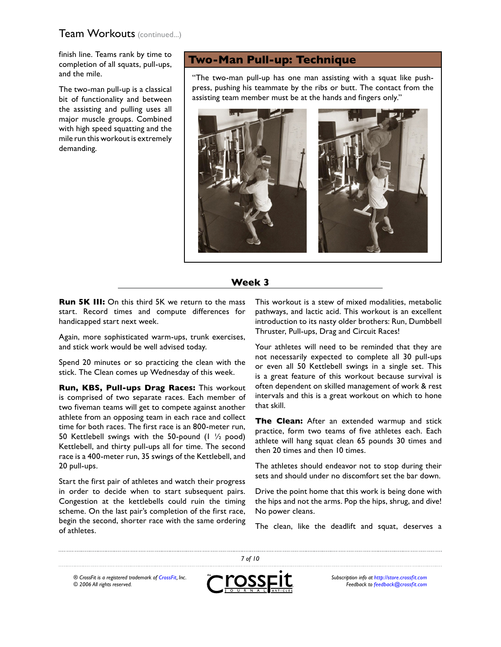finish line. Teams rank by time to completion of all squats, pull-ups, and the mile.

The two-man pull-up is a classical bit of functionality and between the assisting and pulling uses all major muscle groups. Combined with high speed squatting and the mile run this workout is extremely demanding.

# **Two-Man Pull-up: Technique**

"The two-man pull-up has one man assisting with a squat like pushpress, pushing his teammate by the ribs or butt. The contact from the assisting team member must be at the hands and fingers only."



#### **Week 3**

**Run 5K III:** On this third 5K we return to the mass start. Record times and compute differences for handicapped start next week.

Again, more sophisticated warm-ups, trunk exercises, and stick work would be well advised today.

Spend 20 minutes or so practicing the clean with the stick. The Clean comes up Wednesday of this week.

**Run, KBS, Pull-ups Drag Races:** This workout is comprised of two separate races. Each member of two fiveman teams will get to compete against another athlete from an opposing team in each race and collect time for both races. The first race is an 800-meter run, 50 Kettlebell swings with the 50-pound (1 ½ pood) Kettlebell, and thirty pull-ups all for time. The second race is a 400-meter run, 35 swings of the Kettlebell, and 20 pull-ups.

Start the first pair of athletes and watch their progress in order to decide when to start subsequent pairs. Congestion at the kettlebells could ruin the timing scheme. On the last pair's completion of the first race, begin the second, shorter race with the same ordering of athletes.

This workout is a stew of mixed modalities, metabolic pathways, and lactic acid. This workout is an excellent introduction to its nasty older brothers: Run, Dumbbell Thruster, Pull-ups, Drag and Circuit Races!

Your athletes will need to be reminded that they are not necessarily expected to complete all 30 pull-ups or even all 50 Kettlebell swings in a single set. This is a great feature of this workout because survival is often dependent on skilled management of work & rest intervals and this is a great workout on which to hone that skill.

**The Clean:** After an extended warmup and stick practice, form two teams of five athletes each. Each athlete will hang squat clean 65 pounds 30 times and then 20 times and then 10 times.

The athletes should endeavor not to stop during their sets and should under no discomfort set the bar down.

Drive the point home that this work is being done with the hips and not the arms. Pop the hips, shrug, and dive! No power cleans.

The clean, like the deadlift and squat, deserves a

*® CrossFit is a registered trademark of [CrossFit,](http://www.crossfit.com) Inc. © 2006 All rights reserved.*



 *of 10*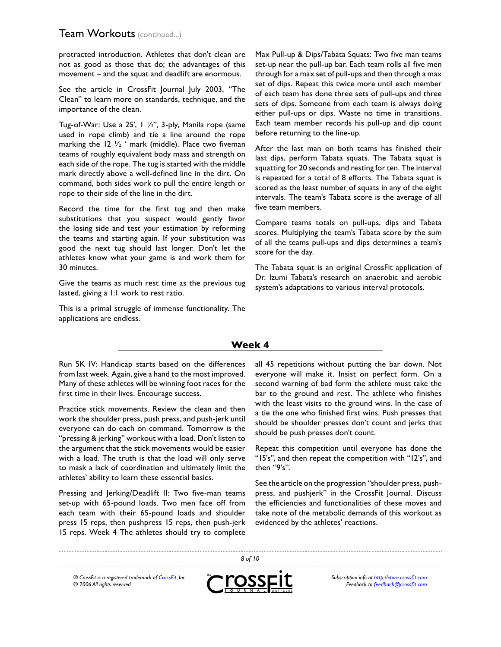protracted introduction. Athletes that don't clean are not as good as those that do; the advantages of this movement – and the squat and deadlift are enormous.

See the article in CrossFit Journal July 2003, "The Clean" to learn more on standards, technique, and the importance of the clean.

Tug-of-War: Use a 25', 1 ½", 3-ply, Manila rope (same used in rope climb) and tie a line around the rope marking the 12  $\frac{1}{2}$  ' mark (middle). Place two fiveman teams of roughly equivalent body mass and strength on each side of the rope. The tug is started with the middle mark directly above a well-defined line in the dirt. On command, both sides work to pull the entire length or rope to their side of the line in the dirt.

Record the time for the first tug and then make substitutions that you suspect would gently favor the losing side and test your estimation by reforming the teams and starting again. If your substitution was good the next tug should last longer. Don't let the athletes know what your game is and work them for 30 minutes.

Give the teams as much rest time as the previous tug lasted, giving a 1:1 work to rest ratio.

This is a primal struggle of immense functionality. The applications are endless.

Max Pull-up & Dips/Tabata Squats: Two five man teams set-up near the pull-up bar. Each team rolls all five men through for a max set of pull-ups and then through a max set of dips. Repeat this twice more until each member of each team has done three sets of pull-ups and three sets of dips. Someone from each team is always doing either pull-ups or dips. Waste no time in transitions. Each team member records his pull-up and dip count before returning to the line-up.

After the last man on both teams has finished their last dips, perform Tabata squats. The Tabata squat is squatting for 20 seconds and resting for ten. The interval is repeated for a total of 8 efforts. The Tabata squat is scored as the least number of squats in any of the eight intervals. The team's Tabata score is the average of all five team members.

Compare teams totals on pull-ups, dips and Tabata scores. Multiplying the team's Tabata score by the sum of all the teams pull-ups and dips determines a team's score for the day.

The Tabata squat is an original CrossFit application of Dr. Izumi Tabata's research on anaerobic and aerobic system's adaptations to various interval protocols.

#### **Week 4**

Run 5K IV: Handicap starts based on the differences from last week. Again, give a hand to the most improved. Many of these athletes will be winning foot races for the first time in their lives. Encourage success.

Practice stick movements. Review the clean and then work the shoulder press, push press, and push-jerk until everyone can do each on command. Tomorrow is the "pressing & jerking" workout with a load. Don't listen to the argument that the stick movements would be easier with a load. The truth is that the load will only serve to mask a lack of coordination and ultimately limit the athletes' ability to learn these essential basics.

Pressing and Jerking/Deadlift II: Two five-man teams set-up with 65-pound loads. Two men face off from each team with their 65-pound loads and shoulder press 15 reps, then pushpress 15 reps, then push-jerk 15 reps. Week 4 The athletes should try to complete

all 45 repetitions without putting the bar down. Not everyone will make it. Insist on perfect form. On a second warning of bad form the athlete must take the bar to the ground and rest. The athlete who finishes with the least visits to the ground wins. In the case of a tie the one who finished first wins. Push presses that should be shoulder presses don't count and jerks that should be push presses don't count.

Repeat this competition until everyone has done the "15's", and then repeat the competition with "12's", and then "9's".

See the article on the progression "shoulder press, pushpress, and pushjerk" in the CrossFit Journal. Discuss the efficiencies and functionalities of these moves and take note of the metabolic demands of this workout as evidenced by the athletes' reactions.

*® CrossFit is a registered trademark of [CrossFit,](http://www.crossfit.com) Inc. © 2006 All rights reserved.*



 *of 10*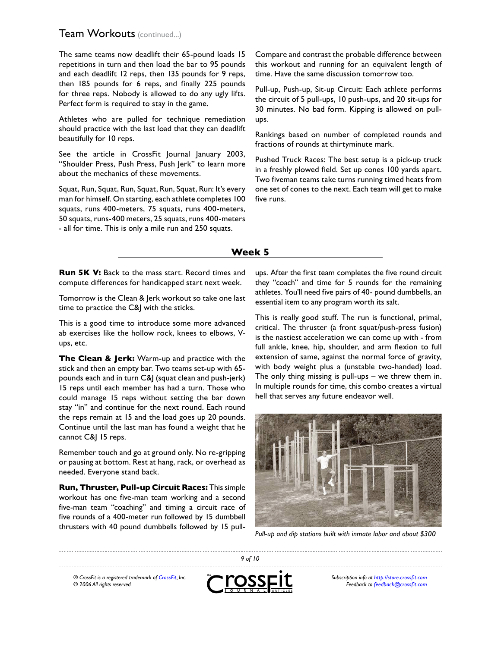The same teams now deadlift their 65-pound loads 15 repetitions in turn and then load the bar to 95 pounds and each deadlift 12 reps, then 135 pounds for 9 reps, then 185 pounds for 6 reps, and finally 225 pounds for three reps. Nobody is allowed to do any ugly lifts. Perfect form is required to stay in the game.

Athletes who are pulled for technique remediation should practice with the last load that they can deadlift beautifully for 10 reps.

See the article in CrossFit Journal January 2003, "Shoulder Press, Push Press, Push Jerk" to learn more about the mechanics of these movements.

Squat, Run, Squat, Run, Squat, Run, Squat, Run: It's every man for himself. On starting, each athlete completes 100 squats, runs 400-meters, 75 squats, runs 400-meters, 50 squats, runs-400 meters, 25 squats, runs 400-meters - all for time. This is only a mile run and 250 squats.

Compare and contrast the probable difference between this workout and running for an equivalent length of time. Have the same discussion tomorrow too.

Pull-up, Push-up, Sit-up Circuit: Each athlete performs the circuit of 5 pull-ups, 10 push-ups, and 20 sit-ups for 30 minutes. No bad form. Kipping is allowed on pullups.

Rankings based on number of completed rounds and fractions of rounds at thirtyminute mark.

Pushed Truck Races: The best setup is a pick-up truck in a freshly plowed field. Set up cones 100 yards apart. Two fiveman teams take turns running timed heats from one set of cones to the next. Each team will get to make five runs.

#### **Week 5**

**Run 5K V:** Back to the mass start. Record times and compute differences for handicapped start next week.

Tomorrow is the Clean & Jerk workout so take one last time to practice the C&J with the sticks.

This is a good time to introduce some more advanced ab exercises like the hollow rock, knees to elbows, Vups, etc.

**The Clean & Jerk:** Warm-up and practice with the stick and then an empty bar. Two teams set-up with 65 pounds each and in turn C&J (squat clean and push-jerk) 15 reps until each member has had a turn. Those who could manage 15 reps without setting the bar down stay "in" and continue for the next round. Each round the reps remain at 15 and the load goes up 20 pounds. Continue until the last man has found a weight that he cannot C&J 15 reps.

Remember touch and go at ground only. No re-gripping or pausing at bottom. Rest at hang, rack, or overhead as needed. Everyone stand back.

**Run, Thruster, Pull-up Circuit Races:** This simple workout has one five-man team working and a second five-man team "coaching" and timing a circuit race of five rounds of a 400-meter run followed by 15 dumbbell thrusters with 40 pound dumbbells followed by 15 pull-

ups. After the first team completes the five round circuit they "coach" and time for 5 rounds for the remaining athletes. You'll need five pairs of 40- pound dumbbells, an essential item to any program worth its salt.

This is really good stuff. The run is functional, primal, critical. The thruster (a front squat/push-press fusion) is the nastiest acceleration we can come up with - from full ankle, knee, hip, shoulder, and arm flexion to full extension of same, against the normal force of gravity, with body weight plus a (unstable two-handed) load. The only thing missing is pull-ups – we threw them in. In multiple rounds for time, this combo creates a virtual hell that serves any future endeavor well.



*Pull-up and dip stations built with inmate labor and about \$300*

*® CrossFit is a registered trademark of [CrossFit,](http://www.crossfit.com) Inc. © 2006 All rights reserved.*



 *of 10*